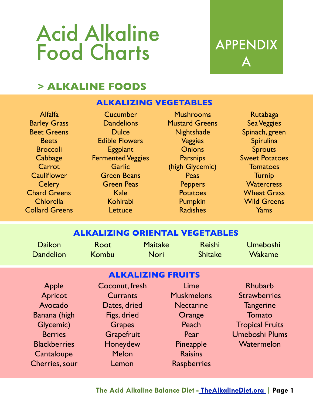## Acid Alkaline Food Charts APPENDIX

# A

## **> ALKALINE FOODS**

## **ALKALIZING VEGETABLES**

Alfalfa Barley Grass Beet Greens **Beets** Broccoli **Cabbage Carrot Cauliflower Celery** Chard Greens Chlorella Collard Greens

Cucumber **Dandelions Dulce** Edible Flowers **Eggplant** Fermented Veggies **Garlic** Green Beans Green Peas Kale Kohlrabi **Lettuce** 

Mushrooms Mustard Greens **Nightshade** Veggies **Onions Parsnips** (high Glycemic) **Peas Peppers** Potatoes Pumpkin Radishes

Rutabaga Sea Veggies Spinach, green Spirulina **Sprouts** Sweet Potatoes **Tomatoes** Turnip **Watercress** Wheat Grass Wild Greens Yams

## **ALKALIZING ORIENTAL VEGETABLES**

| <b>Daikon</b>    | Root  | <b>Maitake</b> | Reishi         | Umeboshi      |
|------------------|-------|----------------|----------------|---------------|
| <b>Dandelion</b> | Kombu | Nori           | <b>Shitake</b> | <b>Wakame</b> |

## **ALKALIZING FRUITS**

Apple Apricot Avocado Banana (high Glycemic) **Berries Blackberries Cantaloupe** Cherries, sour Coconut, fresh **Currants** Dates, dried Figs, dried **Grapes Grapefruit** Honeydew **Melon** Lemon

Lime Muskmelons **Nectarine Orange Peach** Pear Pineapple **Raisins Raspberries** 

Rhubarb **Strawberries Tangerine** Tomato Tropical Fruits Umeboshi Plums **Watermelon**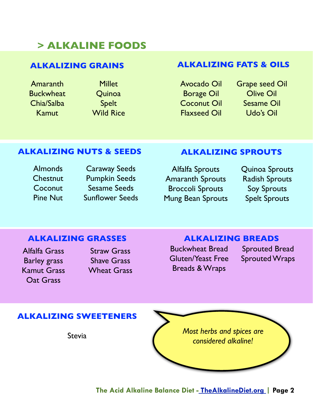## **> ALKALINE FOODS**

### **ALKALIZING GRAINS**

Amaranth **Buckwheat** Chia/Salba Kamut

Millet **Quinoa** Spelt Wild Rice

## **ALKALIZING FATS & OILS**

Avocado Oil Borage Oil Coconut Oil Flaxseed Oil Grape seed Oil Olive Oil Sesame Oil Udo's Oil

#### **ALKALIZING NUTS & SEEDS**

Almonds **Chestnut Coconut** Pine Nut

Caraway Seeds Pumpkin Seeds Sesame Seeds Sunflower Seeds

#### **ALKALIZING SPROUTS**

Alfalfa Sprouts Amaranth Sprouts Broccoli Sprouts Mung Bean Sprouts Quinoa Sprouts Radish Sprouts Soy Sprouts Spelt Sprouts

#### **ALKALIZING GRASSES**

Alfalfa Grass Barley grass Kamut Grass Oat Grass

Straw Grass Shave Grass Wheat Grass

#### **ALKALIZING BREADS**

Buckwheat Bread Gluten/Yeast Free Breads & Wraps

Sprouted Bread Sprouted Wraps

## **ALKALIZING SWEETENERS**

**Stevia** 

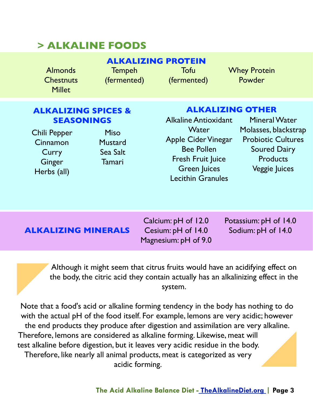## **> ALKALINE FOODS**

Tofu (fermented) Whey Protein Powder

## **ALKALIZING SPICES & SEASONINGS** Alkaline Antioxidant

Chili Pepper Cinnamon **Curry Ginger** Herbs (all)

Almonds **Chestnuts Millet** 

> Miso **Mustard** Sea Salt Tamari

**Tempeh** (fermented)

## **ALKALIZING OTHER**

**Water** Apple Cider Vinegar Bee Pollen Fresh Fruit Juice Green Juices Lecithin Granules

Mineral Water Molasses, blackstrap Probiotic Cultures Soured Dairy **Products** Veggie Juices

## **ALKALIZING MINERALS** Cesium: pH of 14.0 Sodium: pH of 14.0

Calcium: pH of 12.0 Cesium: pH of 14.0 Magnesium: pH of 9.0 Potassium: pH of 14.0

Although it might seem that citrus fruits would have an acidifying effect on the body, the citric acid they contain actually has an alkalinizing effect in the system.

Note that a food's acid or alkaline forming tendency in the body has nothing to do with the actual pH of the food itself. For example, lemons are very acidic; however the end products they produce after digestion and assimilation are very alkaline. Therefore, lemons are considered as alkaline forming. Likewise, meat will test alkaline before digestion, but it leaves very acidic residue in the body. Therefore, like nearly all animal products, meat is categorized as very acidic forming.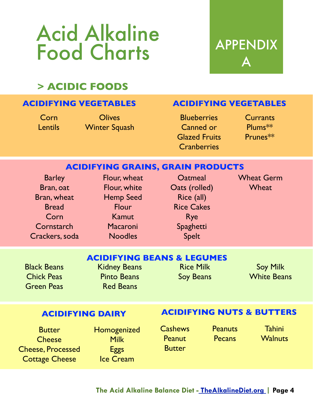## Acid Alkaline Food Charts APPENDIX

# $\blacktriangle$

## **> ACIDIC FOODS**

## **ACIDIFYING VEGETABLES**

Corn **Lentils** 

**Olives** Winter Squash

## **ACIDIFYING VEGETABLES**

**Blueberries** Canned or Glazed Fruits **Cranberries** 

**Currants** Plums\*\* Prunes\*\*

## **ACIDIFYING GRAINS, GRAIN PRODUCTS**

| <b>Barley</b>  |
|----------------|
| Bran, oat      |
| Bran, wheat    |
| <b>Bread</b>   |
| Corn           |
| Cornstarch     |
| Crackers, soda |
|                |

Flour, white Hemp Seed **Flour** Kamut **Macaroni** Noodles

Flour, wheat

**Oatmeal** Oats (rolled) Rice (all) Rice Cakes Rye Spaghetti Spelt

Wheat Germ **Wheat** 

## **ACIDIFYING BEANS & LEGUMES**

Black Beans Chick Peas Green Peas Kidney Beans Pinto Beans Red Beans

## Rice Milk Soy Beans

Soy Milk White Beans

## **ACIDIFYING DAIRY**

## **ACIDIFYING NUTS & BUTTERS**

**Butter Cheese** Cheese, Processed Cottage Cheese

Homogenized Milk **Eggs** Ice Cream

**Cashews Peanut Butter** 

**Peanuts Pecans** 

**Tahini Walnuts**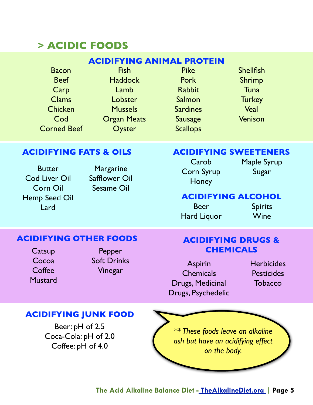## **> ACIDIC FOODS**

## **ACIDIFYING ANIMAL PROTEIN**

Bacon Beef Carp Clams **Chicken** Cod Corned Beef

Fish **Haddock** Lamb **Lobster** Mussels Organ Meats Oyster

Pike Pork Rabbit Salmon **Sardines** Sausage **Scallops** 

**Shellfish** Shrimp **Tuna Turkey** Veal Venison

## **ACIDIFYING FATS & OILS**

**Butter** Cod Liver Oil Corn Oil Hemp Seed Oil Lard

**Margarine** Safflower Oil Sesame Oil

## **ACIDIFYING SWEETENERS**

**Carob** Corn Syrup **Honey** 

Maple Syrup Sugar

## **ACIDIFYING ALCOHOL**

Beer Hard Liquor

Spirits Wine

## **ACIDIFYING OTHER FOODS**

**Catsup** Cocoa Coffee **Mustard** 

Pepper Soft Drinks Vinegar

## **ACIDIFYING DRUGS & CHEMICALS**

Aspirin **Chemicals** Drugs, Medicinal Drugs, Psychedelic **Herbicides Pesticides Tobacco** 

## **ACIDIFYING JUNK FOOD**

Beer: pH of 2.5 Coca-Cola: pH of 2.0 Coffee: pH of 4.0

*\*\* These foods leave an alkaline ash but have an acidifying effect on the body.*